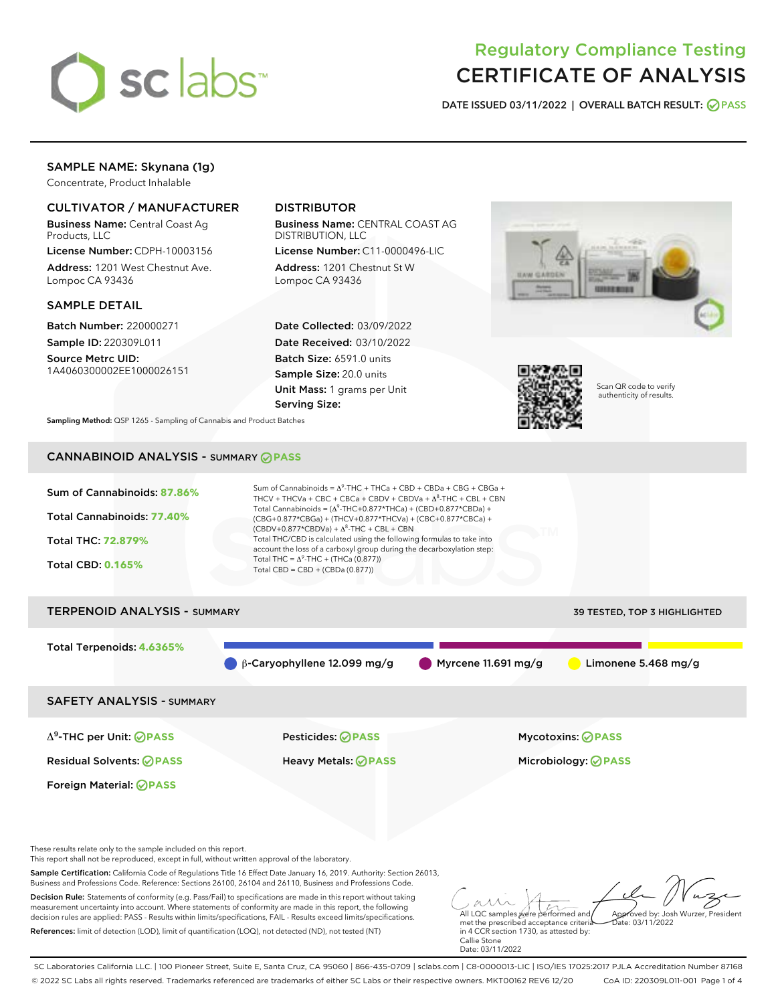

# Regulatory Compliance Testing CERTIFICATE OF ANALYSIS

DATE ISSUED 03/11/2022 | OVERALL BATCH RESULT: @ PASS

# SAMPLE NAME: Skynana (1g)

Concentrate, Product Inhalable

# CULTIVATOR / MANUFACTURER

Business Name: Central Coast Ag Products, LLC

License Number: CDPH-10003156 Address: 1201 West Chestnut Ave. Lompoc CA 93436

## SAMPLE DETAIL

Batch Number: 220000271 Sample ID: 220309L011

Source Metrc UID: 1A4060300002EE1000026151

# DISTRIBUTOR

Business Name: CENTRAL COAST AG DISTRIBUTION, LLC

License Number: C11-0000496-LIC Address: 1201 Chestnut St W Lompoc CA 93436

Date Collected: 03/09/2022 Date Received: 03/10/2022 Batch Size: 6591.0 units Sample Size: 20.0 units Unit Mass: 1 grams per Unit Serving Size:





Scan QR code to verify authenticity of results.

Sampling Method: QSP 1265 - Sampling of Cannabis and Product Batches

# CANNABINOID ANALYSIS - SUMMARY **PASS**



References: limit of detection (LOD), limit of quantification (LOQ), not detected (ND), not tested (NT)

met the prescribed acceptance criteria in 4 CCR section 1730, as attested by: Callie Stone Date: 03/11/2022  $ate: 03/11/2022$ 

SC Laboratories California LLC. | 100 Pioneer Street, Suite E, Santa Cruz, CA 95060 | 866-435-0709 | sclabs.com | C8-0000013-LIC | ISO/IES 17025:2017 PJLA Accreditation Number 87168 © 2022 SC Labs all rights reserved. Trademarks referenced are trademarks of either SC Labs or their respective owners. MKT00162 REV6 12/20 CoA ID: 220309L011-001 Page 1 of 4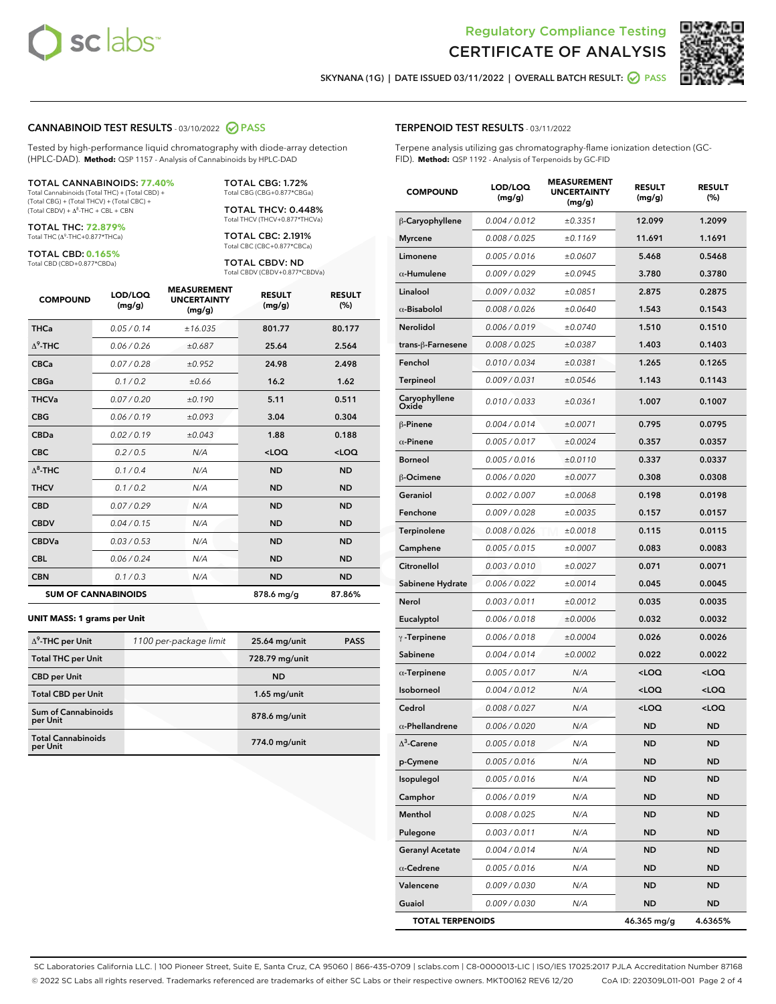



SKYNANA (1G) | DATE ISSUED 03/11/2022 | OVERALL BATCH RESULT: 0 PASS

## CANNABINOID TEST RESULTS - 03/10/2022 2 PASS

Tested by high-performance liquid chromatography with diode-array detection (HPLC-DAD). **Method:** QSP 1157 - Analysis of Cannabinoids by HPLC-DAD

#### TOTAL CANNABINOIDS: **77.40%**

Total Cannabinoids (Total THC) + (Total CBD) + (Total CBG) + (Total THCV) + (Total CBC) +  $(Total CBDV) +  $\Delta^8$ -THC + CBL + CBN$ 

TOTAL THC: **72.879%** Total THC (Δ<sup>9</sup> -THC+0.877\*THCa)

TOTAL CBD: **0.165%** Total CBD (CBD+0.877\*CBDa)

TOTAL CBG: 1.72% Total CBG (CBG+0.877\*CBGa)

TOTAL THCV: 0.448% Total THCV (THCV+0.877\*THCVa)

TOTAL CBC: 2.191% Total CBC (CBC+0.877\*CBCa)

TOTAL CBDV: ND Total CBDV (CBDV+0.877\*CBDVa)

| <b>COMPOUND</b>  | LOD/LOQ<br>(mg/g)          | <b>MEASUREMENT</b><br><b>UNCERTAINTY</b><br>(mg/g) | <b>RESULT</b><br>(mg/g) | <b>RESULT</b><br>(%) |
|------------------|----------------------------|----------------------------------------------------|-------------------------|----------------------|
| <b>THCa</b>      | 0.05/0.14                  | ±16.035                                            | 801.77                  | 80.177               |
| $\Lambda^9$ -THC | 0.06 / 0.26                | ±0.687                                             | 25.64                   | 2.564                |
| <b>CBCa</b>      | 0.07 / 0.28                | ±0.952                                             | 24.98                   | 2.498                |
| <b>CBGa</b>      | 0.1/0.2                    | ±0.66                                              | 16.2                    | 1.62                 |
| <b>THCVa</b>     | 0.07/0.20                  | ±0.190                                             | 5.11                    | 0.511                |
| <b>CBG</b>       | 0.06/0.19                  | ±0.093                                             | 3.04                    | 0.304                |
| <b>CBDa</b>      | 0.02/0.19                  | ±0.043                                             | 1.88                    | 0.188                |
| <b>CBC</b>       | 0.2 / 0.5                  | N/A                                                | $<$ LOQ                 | $<$ LOQ              |
| $\Lambda^8$ -THC | 0.1/0.4                    | N/A                                                | <b>ND</b>               | <b>ND</b>            |
| <b>THCV</b>      | 0.1/0.2                    | N/A                                                | <b>ND</b>               | <b>ND</b>            |
| <b>CBD</b>       | 0.07/0.29                  | N/A                                                | <b>ND</b>               | <b>ND</b>            |
| <b>CBDV</b>      | 0.04 / 0.15                | N/A                                                | <b>ND</b>               | <b>ND</b>            |
| <b>CBDVa</b>     | 0.03/0.53                  | N/A                                                | <b>ND</b>               | <b>ND</b>            |
| <b>CBL</b>       | 0.06 / 0.24                | N/A                                                | <b>ND</b>               | <b>ND</b>            |
| <b>CBN</b>       | 0.1/0.3                    | N/A                                                | <b>ND</b>               | <b>ND</b>            |
|                  | <b>SUM OF CANNABINOIDS</b> |                                                    | 878.6 mg/g              | 87.86%               |

#### **UNIT MASS: 1 grams per Unit**

| $\Delta^9$ -THC per Unit               | 1100 per-package limit | 25.64 mg/unit  | <b>PASS</b> |
|----------------------------------------|------------------------|----------------|-------------|
| <b>Total THC per Unit</b>              |                        | 728.79 mg/unit |             |
| <b>CBD per Unit</b>                    |                        | <b>ND</b>      |             |
| <b>Total CBD per Unit</b>              |                        | $1.65$ mg/unit |             |
| <b>Sum of Cannabinoids</b><br>per Unit |                        | 878.6 mg/unit  |             |
| <b>Total Cannabinoids</b><br>per Unit  |                        | 774.0 mg/unit  |             |

## TERPENOID TEST RESULTS - 03/11/2022

Terpene analysis utilizing gas chromatography-flame ionization detection (GC-FID). **Method:** QSP 1192 - Analysis of Terpenoids by GC-FID

| <b>COMPOUND</b>         | LOD/LOQ<br>(mg/g) | <b>MEASUREMENT</b><br><b>UNCERTAINTY</b><br>(mg/g) | <b>RESULT</b><br>(mg/g)                         | <b>RESULT</b><br>(%) |
|-------------------------|-------------------|----------------------------------------------------|-------------------------------------------------|----------------------|
| β-Caryophyllene         | 0.004 / 0.012     | ±0.3351                                            | 12.099                                          | 1.2099               |
| <b>Myrcene</b>          | 0.008 / 0.025     | ±0.1169                                            | 11.691                                          | 1.1691               |
| Limonene                | 0.005 / 0.016     | ±0.0607                                            | 5.468                                           | 0.5468               |
| $\alpha$ -Humulene      | 0.009 / 0.029     | ±0.0945                                            | 3.780                                           | 0.3780               |
| Linalool                | 0.009 / 0.032     | ±0.0851                                            | 2.875                                           | 0.2875               |
| $\alpha$ -Bisabolol     | 0.008 / 0.026     | ±0.0640                                            | 1.543                                           | 0.1543               |
| Nerolidol               | 0.006 / 0.019     | ±0.0740                                            | 1.510                                           | 0.1510               |
| trans-ß-Farnesene       | 0.008 / 0.025     | ±0.0387                                            | 1.403                                           | 0.1403               |
| Fenchol                 | 0.010 / 0.034     | ±0.0381                                            | 1.265                                           | 0.1265               |
| Terpineol               | 0.009 / 0.031     | ±0.0546                                            | 1.143                                           | 0.1143               |
| Caryophyllene<br>Oxide  | 0.010 / 0.033     | ±0.0361                                            | 1.007                                           | 0.1007               |
| $\beta$ -Pinene         | 0.004 / 0.014     | ±0.0071                                            | 0.795                                           | 0.0795               |
| $\alpha$ -Pinene        | 0.005 / 0.017     | ±0.0024                                            | 0.357                                           | 0.0357               |
| <b>Borneol</b>          | 0.005 / 0.016     | ±0.0110                                            | 0.337                                           | 0.0337               |
| β-Ocimene               | 0.006 / 0.020     | ±0.0077                                            | 0.308                                           | 0.0308               |
| Geraniol                | 0.002 / 0.007     | ±0.0068                                            | 0.198                                           | 0.0198               |
| Fenchone                | 0.009 / 0.028     | ±0.0035                                            | 0.157                                           | 0.0157               |
| Terpinolene             | 0.008 / 0.026     | ±0.0018                                            | 0.115                                           | 0.0115               |
| Camphene                | 0.005 / 0.015     | ±0.0007                                            | 0.083                                           | 0.0083               |
| Citronellol             | 0.003 / 0.010     | ±0.0027                                            | 0.071                                           | 0.0071               |
| Sabinene Hydrate        | 0.006 / 0.022     | ±0.0014                                            | 0.045                                           | 0.0045               |
| Nerol                   | 0.003 / 0.011     | ±0.0012                                            | 0.035                                           | 0.0035               |
| Eucalyptol              | 0.006 / 0.018     | ±0.0006                                            | 0.032                                           | 0.0032               |
| $\gamma$ -Terpinene     | 0.006 / 0.018     | ±0.0004                                            | 0.026                                           | 0.0026               |
| Sabinene                | 0.004 / 0.014     | ±0.0002                                            | 0.022                                           | 0.0022               |
| $\alpha$ -Terpinene     | 0.005 / 0.017     | N/A                                                | <loq< th=""><th><loq< th=""></loq<></th></loq<> | <loq< th=""></loq<>  |
| Isoborneol              | 0.004 / 0.012     | N/A                                                | <loq< th=""><th><loq< th=""></loq<></th></loq<> | <loq< th=""></loq<>  |
| Cedrol                  | 0.008 / 0.027     | N/A                                                | <loq< th=""><th><loq< th=""></loq<></th></loq<> | <loq< th=""></loq<>  |
| $\alpha$ -Phellandrene  | 0.006 / 0.020     | N/A                                                | ND                                              | <b>ND</b>            |
| $\Lambda^3$ -Carene     | 0.005 / 0.018     | N/A                                                | <b>ND</b>                                       | <b>ND</b>            |
| p-Cymene                | 0.005 / 0.016     | N/A                                                | ND                                              | ND                   |
| Isopulegol              | 0.005 / 0.016     | N/A                                                | <b>ND</b>                                       | <b>ND</b>            |
| Camphor                 | 0.006 / 0.019     | N/A                                                | <b>ND</b>                                       | <b>ND</b>            |
| Menthol                 | 0.008 / 0.025     | N/A                                                | ND                                              | ND                   |
| Pulegone                | 0.003 / 0.011     | N/A                                                | ND                                              | ND                   |
| <b>Geranyl Acetate</b>  | 0.004 / 0.014     | N/A                                                | ND                                              | ND                   |
| $\alpha$ -Cedrene       | 0.005 / 0.016     | N/A                                                | ND                                              | ND                   |
| Valencene               | 0.009 / 0.030     | N/A                                                | ND                                              | ND                   |
| Guaiol                  | 0.009 / 0.030     | N/A                                                | <b>ND</b>                                       | ND                   |
| <b>TOTAL TERPENOIDS</b> |                   |                                                    | 46.365 mg/g                                     | 4.6365%              |

SC Laboratories California LLC. | 100 Pioneer Street, Suite E, Santa Cruz, CA 95060 | 866-435-0709 | sclabs.com | C8-0000013-LIC | ISO/IES 17025:2017 PJLA Accreditation Number 87168 © 2022 SC Labs all rights reserved. Trademarks referenced are trademarks of either SC Labs or their respective owners. MKT00162 REV6 12/20 CoA ID: 220309L011-001 Page 2 of 4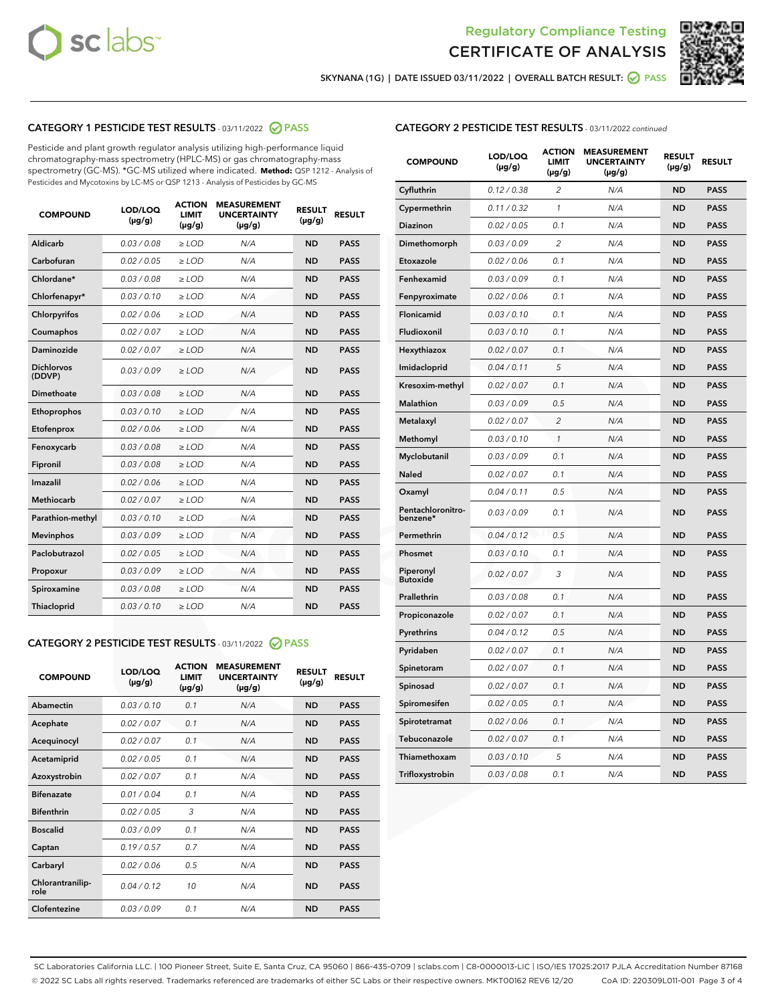



SKYNANA (1G) | DATE ISSUED 03/11/2022 | OVERALL BATCH RESULT: 2 PASS

# CATEGORY 1 PESTICIDE TEST RESULTS - 03/11/2022 2 PASS

Pesticide and plant growth regulator analysis utilizing high-performance liquid chromatography-mass spectrometry (HPLC-MS) or gas chromatography-mass spectrometry (GC-MS). \*GC-MS utilized where indicated. **Method:** QSP 1212 - Analysis of Pesticides and Mycotoxins by LC-MS or QSP 1213 - Analysis of Pesticides by GC-MS

| <b>COMPOUND</b>             | LOD/LOQ<br>$(\mu g/g)$ | <b>ACTION</b><br>LIMIT<br>$(\mu g/g)$ | <b>MEASUREMENT</b><br><b>UNCERTAINTY</b><br>$(\mu g/g)$ | <b>RESULT</b><br>$(\mu g/g)$ | <b>RESULT</b> |
|-----------------------------|------------------------|---------------------------------------|---------------------------------------------------------|------------------------------|---------------|
| <b>Aldicarb</b>             | 0.03 / 0.08            | $\geq$ LOD                            | N/A                                                     | <b>ND</b>                    | <b>PASS</b>   |
| Carbofuran                  | 0.02 / 0.05            | $\ge$ LOD                             | N/A                                                     | <b>ND</b>                    | <b>PASS</b>   |
| Chlordane*                  | 0.03/0.08              | $>$ LOD                               | N/A                                                     | <b>ND</b>                    | <b>PASS</b>   |
| Chlorfenapyr*               | 0.03/0.10              | $>$ LOD                               | N/A                                                     | <b>ND</b>                    | <b>PASS</b>   |
| Chlorpyrifos                | 0.02 / 0.06            | $>$ LOD                               | N/A                                                     | <b>ND</b>                    | <b>PASS</b>   |
| Coumaphos                   | 0.02 / 0.07            | $\geq$ LOD                            | N/A                                                     | <b>ND</b>                    | <b>PASS</b>   |
| <b>Daminozide</b>           | 0.02 / 0.07            | $\ge$ LOD                             | N/A                                                     | <b>ND</b>                    | <b>PASS</b>   |
| <b>Dichlorvos</b><br>(DDVP) | 0.03/0.09              | $\geq$ LOD                            | N/A                                                     | <b>ND</b>                    | <b>PASS</b>   |
| Dimethoate                  | 0.03 / 0.08            | $>$ LOD                               | N/A                                                     | <b>ND</b>                    | <b>PASS</b>   |
| Ethoprophos                 | 0.03/0.10              | $\geq$ LOD                            | N/A                                                     | <b>ND</b>                    | <b>PASS</b>   |
| Etofenprox                  | 0.02 / 0.06            | > LOD                                 | N/A                                                     | <b>ND</b>                    | <b>PASS</b>   |
| Fenoxycarb                  | 0.03 / 0.08            | $\geq$ LOD                            | N/A                                                     | <b>ND</b>                    | <b>PASS</b>   |
| Fipronil                    | 0.03 / 0.08            | $\ge$ LOD                             | N/A                                                     | <b>ND</b>                    | <b>PASS</b>   |
| Imazalil                    | 0.02 / 0.06            | $\ge$ LOD                             | N/A                                                     | <b>ND</b>                    | <b>PASS</b>   |
| <b>Methiocarb</b>           | 0.02 / 0.07            | $\ge$ LOD                             | N/A                                                     | <b>ND</b>                    | <b>PASS</b>   |
| Parathion-methyl            | 0.03/0.10              | > LOD                                 | N/A                                                     | <b>ND</b>                    | <b>PASS</b>   |
| <b>Mevinphos</b>            | 0.03/0.09              | $\ge$ LOD                             | N/A                                                     | <b>ND</b>                    | <b>PASS</b>   |
| Paclobutrazol               | 0.02 / 0.05            | $\ge$ LOD                             | N/A                                                     | <b>ND</b>                    | <b>PASS</b>   |
| Propoxur                    | 0.03 / 0.09            | $\geq$ LOD                            | N/A                                                     | <b>ND</b>                    | <b>PASS</b>   |
| Spiroxamine                 | 0.03 / 0.08            | $\ge$ LOD                             | N/A                                                     | <b>ND</b>                    | <b>PASS</b>   |
| Thiacloprid                 | 0.03/0.10              | $>$ LOD                               | N/A                                                     | <b>ND</b>                    | <b>PASS</b>   |

# CATEGORY 2 PESTICIDE TEST RESULTS - 03/11/2022 @ PASS

| <b>COMPOUND</b>          | LOD/LOO<br>$(\mu g/g)$ | <b>ACTION</b><br>LIMIT<br>$(\mu g/g)$ | <b>MEASUREMENT</b><br><b>UNCERTAINTY</b><br>$(\mu g/g)$ | <b>RESULT</b><br>$(\mu g/g)$ | <b>RESULT</b> |  |
|--------------------------|------------------------|---------------------------------------|---------------------------------------------------------|------------------------------|---------------|--|
| Abamectin                | 0.03/0.10              | 0.1                                   | N/A                                                     | <b>ND</b>                    | <b>PASS</b>   |  |
| Acephate                 | 0.02/0.07              | 0.1                                   | N/A                                                     | <b>ND</b>                    | <b>PASS</b>   |  |
| Acequinocyl              | 0.02/0.07              | 0.1                                   | N/A                                                     | <b>ND</b>                    | <b>PASS</b>   |  |
| Acetamiprid              | 0.02/0.05              | 0.1                                   | N/A                                                     | <b>ND</b>                    | <b>PASS</b>   |  |
| Azoxystrobin             | 0.02/0.07              | 0.1                                   | N/A                                                     | <b>ND</b>                    | <b>PASS</b>   |  |
| <b>Bifenazate</b>        | 0.01/0.04              | 0.1                                   | N/A                                                     | <b>ND</b>                    | <b>PASS</b>   |  |
| <b>Bifenthrin</b>        | 0.02/0.05              | 3                                     | N/A                                                     | <b>ND</b>                    | <b>PASS</b>   |  |
| <b>Boscalid</b>          | 0.03/0.09              | 0.1                                   | N/A                                                     | <b>ND</b>                    | <b>PASS</b>   |  |
| Captan                   | 0.19/0.57              | 0.7                                   | N/A                                                     | <b>ND</b>                    | <b>PASS</b>   |  |
| Carbaryl                 | 0.02 / 0.06            | 0.5                                   | N/A                                                     | <b>ND</b>                    | <b>PASS</b>   |  |
| Chlorantranilip-<br>role | 0.04/0.12              | 10                                    | N/A                                                     | <b>ND</b>                    | <b>PASS</b>   |  |
| Clofentezine             | 0.03/0.09              | 0.1                                   | N/A                                                     | <b>ND</b>                    | <b>PASS</b>   |  |

# CATEGORY 2 PESTICIDE TEST RESULTS - 03/11/2022 continued

| <b>COMPOUND</b>               | LOD/LOQ<br>(µg/g) | <b>ACTION</b><br>LIMIT<br>$(\mu g/g)$ | <b>MEASUREMENT</b><br><b>UNCERTAINTY</b><br>$(\mu g/g)$ | <b>RESULT</b><br>(µg/g) | <b>RESULT</b> |
|-------------------------------|-------------------|---------------------------------------|---------------------------------------------------------|-------------------------|---------------|
| Cyfluthrin                    | 0.12 / 0.38       | $\overline{c}$                        | N/A                                                     | <b>ND</b>               | <b>PASS</b>   |
| Cypermethrin                  | 0.11 / 0.32       | $\mathcal{I}$                         | N/A                                                     | ND                      | <b>PASS</b>   |
| <b>Diazinon</b>               | 0.02 / 0.05       | 0.1                                   | N/A                                                     | <b>ND</b>               | <b>PASS</b>   |
| Dimethomorph                  | 0.03/0.09         | 2                                     | N/A                                                     | ND                      | <b>PASS</b>   |
| Etoxazole                     | 0.02 / 0.06       | 0.1                                   | N/A                                                     | ND                      | <b>PASS</b>   |
| Fenhexamid                    | 0.03/0.09         | 0.1                                   | N/A                                                     | ND                      | <b>PASS</b>   |
| Fenpyroximate                 | 0.02 / 0.06       | 0.1                                   | N/A                                                     | <b>ND</b>               | <b>PASS</b>   |
| Flonicamid                    | 0.03 / 0.10       | 0.1                                   | N/A                                                     | ND                      | <b>PASS</b>   |
| Fludioxonil                   | 0.03 / 0.10       | 0.1                                   | N/A                                                     | ND                      | <b>PASS</b>   |
| Hexythiazox                   | 0.02 / 0.07       | 0.1                                   | N/A                                                     | <b>ND</b>               | <b>PASS</b>   |
| Imidacloprid                  | 0.04 / 0.11       | 5                                     | N/A                                                     | <b>ND</b>               | <b>PASS</b>   |
| Kresoxim-methyl               | 0.02 / 0.07       | 0.1                                   | N/A                                                     | ND                      | <b>PASS</b>   |
| Malathion                     | 0.03 / 0.09       | 0.5                                   | N/A                                                     | <b>ND</b>               | <b>PASS</b>   |
| Metalaxyl                     | 0.02 / 0.07       | $\overline{c}$                        | N/A                                                     | <b>ND</b>               | <b>PASS</b>   |
| Methomyl                      | 0.03 / 0.10       | $\mathbf{1}$                          | N/A                                                     | ND                      | <b>PASS</b>   |
| Myclobutanil                  | 0.03 / 0.09       | 0.1                                   | N/A                                                     | <b>ND</b>               | <b>PASS</b>   |
| <b>Naled</b>                  | 0.02 / 0.07       | 0.1                                   | N/A                                                     | <b>ND</b>               | <b>PASS</b>   |
| Oxamyl                        | 0.04 / 0.11       | 0.5                                   | N/A                                                     | ND                      | PASS          |
| Pentachloronitro-<br>benzene* | 0.03 / 0.09       | 0.1                                   | N/A                                                     | <b>ND</b>               | <b>PASS</b>   |
| Permethrin                    | 0.04 / 0.12       | 0.5                                   | N/A                                                     | ND                      | <b>PASS</b>   |
| Phosmet                       | 0.03 / 0.10       | 0.1                                   | N/A                                                     | ND                      | <b>PASS</b>   |
| Piperonyl<br><b>Butoxide</b>  | 0.02 / 0.07       | 3                                     | N/A                                                     | <b>ND</b>               | <b>PASS</b>   |
| Prallethrin                   | 0.03 / 0.08       | 0.1                                   | N/A                                                     | ND                      | <b>PASS</b>   |
| Propiconazole                 | 0.02 / 0.07       | 0.1                                   | N/A                                                     | <b>ND</b>               | <b>PASS</b>   |
| Pyrethrins                    | 0.04 / 0.12       | 0.5                                   | N/A                                                     | ND                      | <b>PASS</b>   |
| Pyridaben                     | 0.02 / 0.07       | 0.1                                   | N/A                                                     | <b>ND</b>               | <b>PASS</b>   |
| Spinetoram                    | 0.02 / 0.07       | 0.1                                   | N/A                                                     | <b>ND</b>               | <b>PASS</b>   |
| Spinosad                      | 0.02 / 0.07       | 0.1                                   | N/A                                                     | ND                      | <b>PASS</b>   |
| Spiromesifen                  | 0.02 / 0.05       | 0.1                                   | N/A                                                     | <b>ND</b>               | <b>PASS</b>   |
| Spirotetramat                 | 0.02 / 0.06       | 0.1                                   | N/A                                                     | <b>ND</b>               | <b>PASS</b>   |
| Tebuconazole                  | 0.02 / 0.07       | 0.1                                   | N/A                                                     | ND                      | <b>PASS</b>   |
| Thiamethoxam                  | 0.03 / 0.10       | 5                                     | N/A                                                     | <b>ND</b>               | <b>PASS</b>   |
| Trifloxystrobin               | 0.03 / 0.08       | 0.1                                   | N/A                                                     | <b>ND</b>               | <b>PASS</b>   |

SC Laboratories California LLC. | 100 Pioneer Street, Suite E, Santa Cruz, CA 95060 | 866-435-0709 | sclabs.com | C8-0000013-LIC | ISO/IES 17025:2017 PJLA Accreditation Number 87168 © 2022 SC Labs all rights reserved. Trademarks referenced are trademarks of either SC Labs or their respective owners. MKT00162 REV6 12/20 CoA ID: 220309L011-001 Page 3 of 4